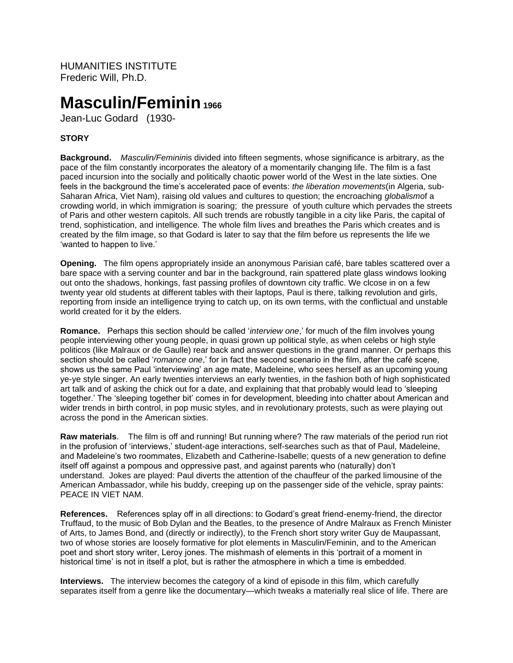HUMANITIES INSTITUTE Frederic Will, Ph.D.

# **Masculin/Feminin<sup>1966</sup>**

Jean-Luc Godard (1930-

## **STORY**

**Background.** *Masculin/Feminin*is divided into fifteen segments, whose significance is arbitrary, as the pace of the film constantly incorporates the aleatory of a momentarily changing life. The film is a fast paced incursion into the socially and politically chaotic power world of the West in the late sixties. One feels in the background the time's accelerated pace of events: *the liberation movements*(in Algeria, sub-Saharan Africa, Viet Nam), raising old values and cultures to question; the encroaching *globalism*of a crowding world, in which immigration is soaring; the pressure of youth culture which pervades the streets of Paris and other western capitols. All such trends are robustly tangible in a city like Paris, the capital of trend, sophistication, and intelligence. The whole film lives and breathes the Paris which creates and is created by the film image, so that Godard is later to say that the film before us represents the life we 'wanted to happen to live.'

**Opening.** The film opens appropriately inside an anonymous Parisian café, bare tables scattered over a bare space with a serving counter and bar in the background, rain spattered plate glass windows looking out onto the shadows, honkings, fast passing profiles of downtown city traffic. We clcose in on a few twenty year old students at different tables with their laptops, Paul is there, talking revolution and girls, reporting from inside an intelligence trying to catch up, on its own terms, with the conflictual and unstable world created for it by the elders.

**Romance.** Perhaps this section should be called '*interview one*,' for much of the film involves young people interviewing other young people, in quasi grown up political style, as when celebs or high style politicos (like Malraux or de Gaulle) rear back and answer questions in the grand manner. Or perhaps this section should be called '*romance one*,' for in fact the second scenario in the film, after the café scene, shows us the same Paul 'interviewing' an age mate, Madeleine, who sees herself as an upcoming young ye-ye style singer. An early twenties interviews an early twenties, in the fashion both of high sophisticated art talk and of asking the chick out for a date, and explaining that that probably would lead to 'sleeping together.' The 'sleeping together bit' comes in for development, bleeding into chatter about American and wider trends in birth control, in pop music styles, and in revolutionary protests, such as were playing out across the pond in the American sixties.

**Raw materials**. The film is off and running! But running where? The raw materials of the period run riot in the profusion of 'interviews,' student-age interactions, self-searches such as that of Paul, Madeleine, and Madeleine's two roommates, Elizabeth and Catherine-Isabelle; quests of a new generation to define itself off against a pompous and oppressive past, and against parents who (naturally) don't understand. Jokes are played: Paul diverts the attention of the chauffeur of the parked limousine of the American Ambassador, while his buddy, creeping up on the passenger side of the vehicle, spray paints: PEACE IN VIET NAM.

**References.** References splay off in all directions: to Godard's great friend-enemy-friend, the director Truffaud, to the music of Bob Dylan and the Beatles, to the presence of Andre Malraux as French Minister of Arts, to James Bond, and (directly or indirectly), to the French short story writer Guy de Maupassant, two of whose stories are loosely formative for plot elements in Masculin/Feminin, and to the American poet and short story writer, Leroy jones. The mishmash of elements in this 'portrait of a moment in historical time' is not in itself a plot, but is rather the atmosphere in which a time is embedded.

**Interviews.** The interview becomes the category of a kind of episode in this film, which carefully separates itself from a genre like the documentary—which tweaks a materially real slice of life. There are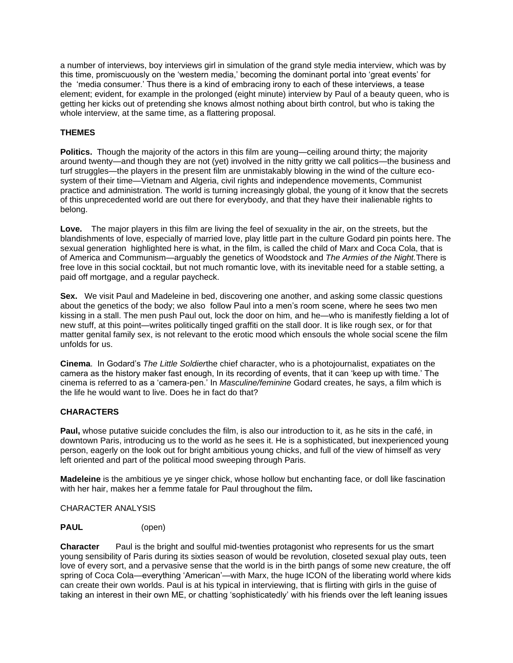a number of interviews, boy interviews girl in simulation of the grand style media interview, which was by this time, promiscuously on the 'western media,' becoming the dominant portal into 'great events' for the 'media consumer.' Thus there is a kind of embracing irony to each of these interviews, a tease element; evident, for example in the prolonged (eight minute) interview by Paul of a beauty queen, who is getting her kicks out of pretending she knows almost nothing about birth control, but who is taking the whole interview, at the same time, as a flattering proposal.

## **THEMES**

**Politics.** Though the majority of the actors in this film are young—ceiling around thirty; the majority around twenty—and though they are not (yet) involved in the nitty gritty we call politics—the business and turf struggles—the players in the present film are unmistakably blowing in the wind of the culture ecosystem of their time—Vietnam and Algeria, civil rights and independence movements, Communist practice and administration. The world is turning increasingly global, the young of it know that the secrets of this unprecedented world are out there for everybody, and that they have their inalienable rights to belong.

**Love.** The major players in this film are living the feel of sexuality in the air, on the streets, but the blandishments of love, especially of married love, play little part in the culture Godard pin points here. The sexual generation highlighted here is what, in the film, is called the child of Marx and Coca Cola, that is of America and Communism—arguably the genetics of Woodstock and *The Armies of the Night.*There is free love in this social cocktail, but not much romantic love, with its inevitable need for a stable setting, a paid off mortgage, and a regular paycheck.

**Sex.** We visit Paul and Madeleine in bed, discovering one another, and asking some classic questions about the genetics of the body; we also follow Paul into a men's room scene, where he sees two men kissing in a stall. The men push Paul out, lock the door on him, and he—who is manifestly fielding a lot of new stuff, at this point—writes politically tinged graffiti on the stall door. It is like rough sex, or for that matter genital family sex, is not relevant to the erotic mood which ensouls the whole social scene the film unfolds for us.

**Cinema**. In Godard's *The Little Soldier*the chief character, who is a photojournalist, expatiates on the camera as the history maker fast enough, In its recording of events, that it can 'keep up with time.' The cinema is referred to as a 'camera-pen.' In *Masculine/feminine* Godard creates, he says, a film which is the life he would want to live. Does he in fact do that?

## **CHARACTERS**

**Paul,** whose putative suicide concludes the film, is also our introduction to it, as he sits in the café, in downtown Paris, introducing us to the world as he sees it. He is a sophisticated, but inexperienced young person, eagerly on the look out for bright ambitious young chicks, and full of the view of himself as very left oriented and part of the political mood sweeping through Paris.

**Madeleine** is the ambitious ye ye singer chick, whose hollow but enchanting face, or doll like fascination with her hair, makes her a femme fatale for Paul throughout the film**.**

CHARACTER ANALYSIS

### **PAUL** (open)

**Character** Paul is the bright and soulful mid-twenties protagonist who represents for us the smart young sensibility of Paris during its sixties season of would be revolution, closeted sexual play outs, teen love of every sort, and a pervasive sense that the world is in the birth pangs of some new creature, the off spring of Coca Cola—everything 'American'—with Marx, the huge ICON of the liberating world where kids can create their own worlds. Paul is at his typical in interviewing, that is flirting with girls in the guise of taking an interest in their own ME, or chatting 'sophisticatedly' with his friends over the left leaning issues